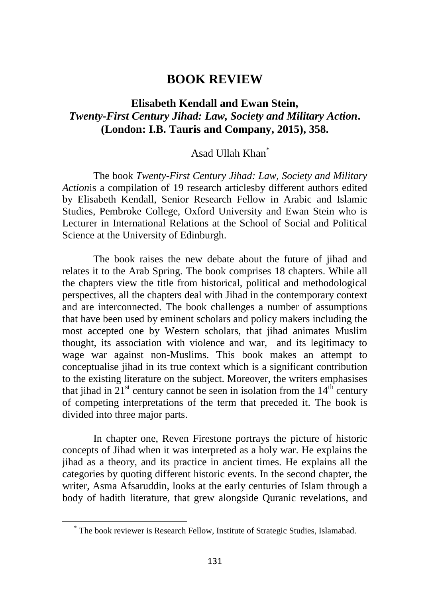## **BOOK REVIEW**

## **Elisabeth Kendall and Ewan Stein,** *Twenty-First Century Jihad: Law, Society and Military Action***. (London: I.B. Tauris and Company, 2015), 358.**

## Asad Ullah Khan\*

The book *Twenty-First Century Jihad: Law, Society and Military Action*is a compilation of 19 research articlesby different authors edited by Elisabeth Kendall, Senior Research Fellow in Arabic and Islamic Studies, Pembroke College, Oxford University and Ewan Stein who is Lecturer in International Relations at the School of Social and Political Science at the University of Edinburgh.

The book raises the new debate about the future of jihad and relates it to the Arab Spring. The book comprises 18 chapters. While all the chapters view the title from historical, political and methodological perspectives, all the chapters deal with Jihad in the contemporary context and are interconnected. The book challenges a number of assumptions that have been used by eminent scholars and policy makers including the most accepted one by Western scholars, that jihad animates Muslim thought, its association with violence and war, and its legitimacy to wage war against non-Muslims. This book makes an attempt to conceptualise jihad in its true context which is a significant contribution to the existing literature on the subject. Moreover, the writers emphasises that jihad in  $21<sup>st</sup>$  century cannot be seen in isolation from the  $14<sup>th</sup>$  century of competing interpretations of the term that preceded it. The book is divided into three major parts.

In chapter one, Reven Firestone portrays the picture of historic concepts of Jihad when it was interpreted as a holy war. He explains the jihad as a theory, and its practice in ancient times. He explains all the categories by quoting different historic events. In the second chapter, the writer, Asma Afsaruddin, looks at the early centuries of Islam through a body of hadith literature, that grew alongside Quranic revelations, and

<sup>\*</sup> The book reviewer is Research Fellow, Institute of Strategic Studies, Islamabad.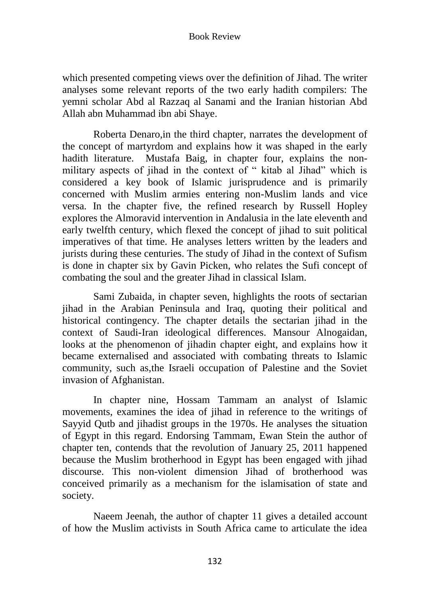which presented competing views over the definition of Jihad. The writer analyses some relevant reports of the two early hadith compilers: The yemni scholar Abd al Razzaq al Sanami and the Iranian historian Abd Allah abn Muhammad ibn abi Shaye.

Roberta Denaro,in the third chapter, narrates the development of the concept of martyrdom and explains how it was shaped in the early hadith literature. Mustafa Baig, in chapter four, explains the nonmilitary aspects of jihad in the context of " kitab al Jihad" which is considered a key book of Islamic jurisprudence and is primarily concerned with Muslim armies entering non-Muslim lands and vice versa. In the chapter five, the refined research by Russell Hopley explores the Almoravid intervention in Andalusia in the late eleventh and early twelfth century, which flexed the concept of jihad to suit political imperatives of that time. He analyses letters written by the leaders and jurists during these centuries. The study of Jihad in the context of Sufism is done in chapter six by Gavin Picken, who relates the Sufi concept of combating the soul and the greater Jihad in classical Islam.

Sami Zubaida, in chapter seven, highlights the roots of sectarian jihad in the Arabian Peninsula and Iraq, quoting their political and historical contingency. The chapter details the sectarian jihad in the context of Saudi-Iran ideological differences. Mansour Alnogaidan, looks at the phenomenon of jihadin chapter eight, and explains how it became externalised and associated with combating threats to Islamic community, such as,the Israeli occupation of Palestine and the Soviet invasion of Afghanistan.

In chapter nine, Hossam Tammam an analyst of Islamic movements, examines the idea of jihad in reference to the writings of Sayyid Qutb and jihadist groups in the 1970s. He analyses the situation of Egypt in this regard. Endorsing Tammam, Ewan Stein the author of chapter ten, contends that the revolution of January 25, 2011 happened because the Muslim brotherhood in Egypt has been engaged with jihad discourse. This non-violent dimension Jihad of brotherhood was conceived primarily as a mechanism for the islamisation of state and society.

Naeem Jeenah, the author of chapter 11 gives a detailed account of how the Muslim activists in South Africa came to articulate the idea